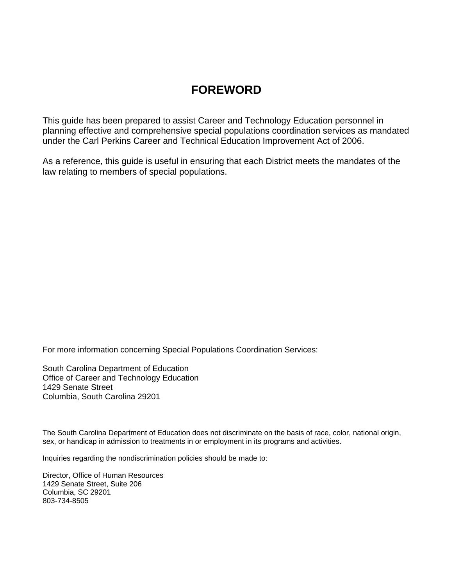# **FOREWORD**

This guide has been prepared to assist Career and Technology Education personnel in planning effective and comprehensive special populations coordination services as mandated under the Carl Perkins Career and Technical Education Improvement Act of 2006.

As a reference, this guide is useful in ensuring that each District meets the mandates of the law relating to members of special populations.

For more information concerning Special Populations Coordination Services:

South Carolina Department of Education Office of Career and Technology Education 1429 Senate Street Columbia, South Carolina 29201

The South Carolina Department of Education does not discriminate on the basis of race, color, national origin, sex, or handicap in admission to treatments in or employment in its programs and activities.

Inquiries regarding the nondiscrimination policies should be made to:

Director, Office of Human Resources 1429 Senate Street, Suite 206 Columbia, SC 29201 803-734-8505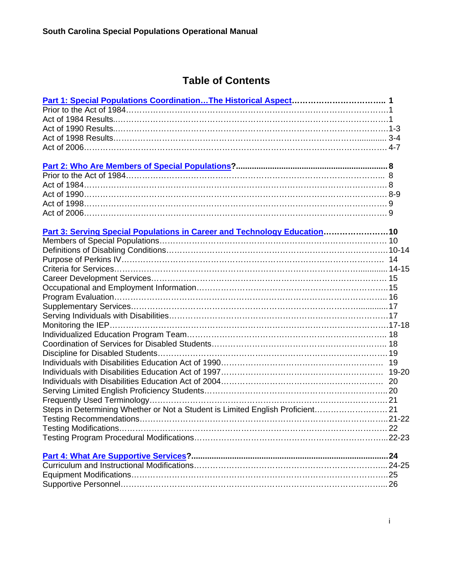# **Table of Contents**

| Steps in Determining Whether or Not a Student is Limited English Proficient 21 |  |
|--------------------------------------------------------------------------------|--|
|                                                                                |  |
|                                                                                |  |
|                                                                                |  |
|                                                                                |  |
|                                                                                |  |
|                                                                                |  |
|                                                                                |  |
|                                                                                |  |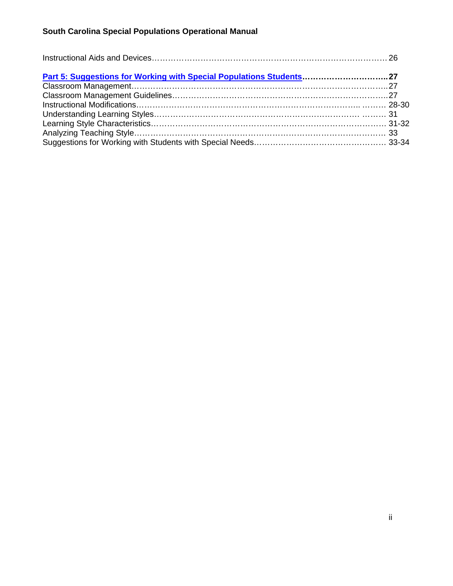| Part 5: Suggestions for Working with Special Populations Students 27 |  |  |
|----------------------------------------------------------------------|--|--|
|                                                                      |  |  |
|                                                                      |  |  |
|                                                                      |  |  |
|                                                                      |  |  |
|                                                                      |  |  |
|                                                                      |  |  |
|                                                                      |  |  |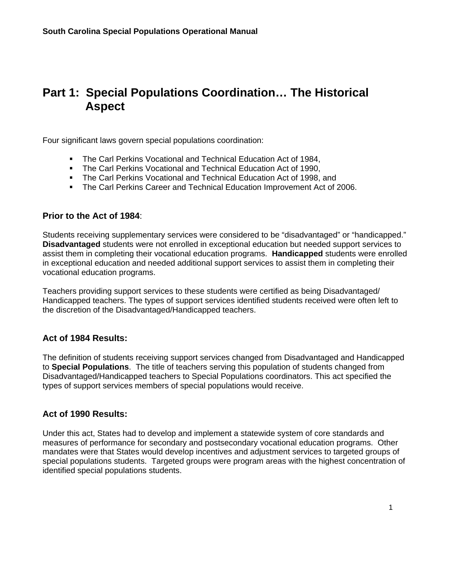# <span id="page-3-0"></span>**Part 1: Special Populations Coordination… The Historical Aspect**

Four significant laws govern special populations coordination:

- **The Carl Perkins Vocational and Technical Education Act of 1984,**
- **The Carl Perkins Vocational and Technical Education Act of 1990,**
- **The Carl Perkins Vocational and Technical Education Act of 1998, and**
- The Carl Perkins Career and Technical Education Improvement Act of 2006.

### **Prior to the Act of 1984**:

Students receiving supplementary services were considered to be "disadvantaged" or "handicapped." **Disadvantaged** students were not enrolled in exceptional education but needed support services to assist them in completing their vocational education programs. **Handicapped** students were enrolled in exceptional education and needed additional support services to assist them in completing their vocational education programs.

Teachers providing support services to these students were certified as being Disadvantaged/ Handicapped teachers. The types of support services identified students received were often left to the discretion of the Disadvantaged/Handicapped teachers.

## **Act of 1984 Results:**

The definition of students receiving support services changed from Disadvantaged and Handicapped to **Special Populations**. The title of teachers serving this population of students changed from Disadvantaged/Handicapped teachers to Special Populations coordinators. This act specified the types of support services members of special populations would receive.

### **Act of 1990 Results:**

Under this act, States had to develop and implement a statewide system of core standards and measures of performance for secondary and postsecondary vocational education programs. Other mandates were that States would develop incentives and adjustment services to targeted groups of special populations students. Targeted groups were program areas with the highest concentration of identified special populations students.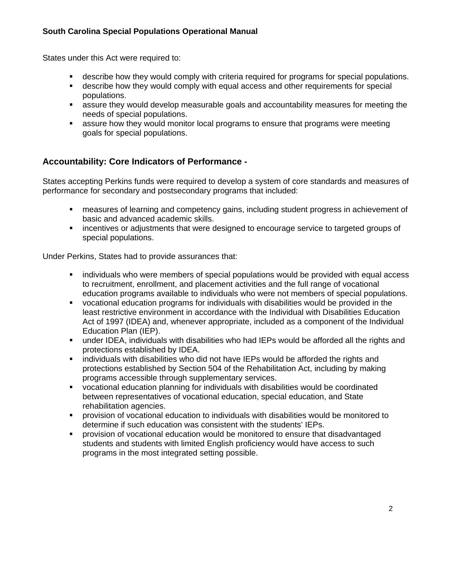States under this Act were required to:

- describe how they would comply with criteria required for programs for special populations.
- describe how they would comply with equal access and other requirements for special populations.
- assure they would develop measurable goals and accountability measures for meeting the needs of special populations.
- assure how they would monitor local programs to ensure that programs were meeting goals for special populations.

# **Accountability: Core Indicators of Performance -**

States accepting Perkins funds were required to develop a system of core standards and measures of performance for secondary and postsecondary programs that included:

- measures of learning and competency gains, including student progress in achievement of basic and advanced academic skills.
- **EXECT** incentives or adjustments that were designed to encourage service to targeted groups of special populations.

Under Perkins, States had to provide assurances that:

- individuals who were members of special populations would be provided with equal access to recruitment, enrollment, and placement activities and the full range of vocational education programs available to individuals who were not members of special populations.
- vocational education programs for individuals with disabilities would be provided in the least restrictive environment in accordance with the Individual with Disabilities Education Act of 1997 (IDEA) and, whenever appropriate, included as a component of the Individual Education Plan (IEP).
- under IDEA, individuals with disabilities who had IEPs would be afforded all the rights and protections established by IDEA.
- individuals with disabilities who did not have IEPs would be afforded the rights and protections established by Section 504 of the Rehabilitation Act, including by making programs accessible through supplementary services.
- vocational education planning for individuals with disabilities would be coordinated between representatives of vocational education, special education, and State rehabilitation agencies.
- provision of vocational education to individuals with disabilities would be monitored to determine if such education was consistent with the students' IEPs.
- provision of vocational education would be monitored to ensure that disadvantaged students and students with limited English proficiency would have access to such programs in the most integrated setting possible.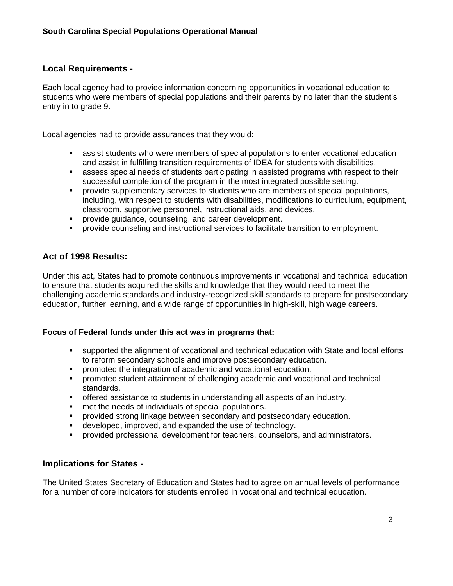### **Local Requirements -**

Each local agency had to provide information concerning opportunities in vocational education to students who were members of special populations and their parents by no later than the student's entry in to grade 9.

Local agencies had to provide assurances that they would:

- assist students who were members of special populations to enter vocational education and assist in fulfilling transition requirements of IDEA for students with disabilities.
- assess special needs of students participating in assisted programs with respect to their successful completion of the program in the most integrated possible setting.
- provide supplementary services to students who are members of special populations, including, with respect to students with disabilities, modifications to curriculum, equipment, classroom, supportive personnel, instructional aids, and devices.
- **PEDRIGION PROVIDE GUIDANCE.** Counseling, and career development.
- **PED Provide counseling and instructional services to facilitate transition to employment.**

## **Act of 1998 Results:**

Under this act, States had to promote continuous improvements in vocational and technical education to ensure that students acquired the skills and knowledge that they would need to meet the challenging academic standards and industry-recognized skill standards to prepare for postsecondary education, further learning, and a wide range of opportunities in high-skill, high wage careers.

### **Focus of Federal funds under this act was in programs that:**

- supported the alignment of vocational and technical education with State and local efforts to reform secondary schools and improve postsecondary education.
- **PEDEPEDED** promoted the integration of academic and vocational education.
- promoted student attainment of challenging academic and vocational and technical standards.
- offered assistance to students in understanding all aspects of an industry.
- **numerally in the needs of individuals of special populations.**
- **Perovided strong linkage between secondary and postsecondary education.**
- developed, improved, and expanded the use of technology.
- provided professional development for teachers, counselors, and administrators.

### **Implications for States -**

The United States Secretary of Education and States had to agree on annual levels of performance for a number of core indicators for students enrolled in vocational and technical education.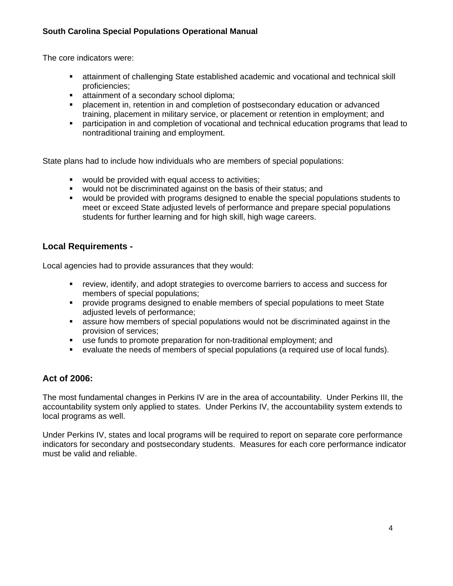The core indicators were:

- attainment of challenging State established academic and vocational and technical skill proficiencies;
- **EXECONDER** attainment of a secondary school diploma:
- placement in, retention in and completion of postsecondary education or advanced training, placement in military service, or placement or retention in employment; and
- participation in and completion of vocational and technical education programs that lead to nontraditional training and employment.

State plans had to include how individuals who are members of special populations:

- **would be provided with equal access to activities:**
- would not be discriminated against on the basis of their status; and
- would be provided with programs designed to enable the special populations students to meet or exceed State adjusted levels of performance and prepare special populations students for further learning and for high skill, high wage careers.

# **Local Requirements -**

Local agencies had to provide assurances that they would:

- review, identify, and adopt strategies to overcome barriers to access and success for members of special populations;
- provide programs designed to enable members of special populations to meet State adjusted levels of performance;
- assure how members of special populations would not be discriminated against in the provision of services;
- use funds to promote preparation for non-traditional employment; and
- evaluate the needs of members of special populations (a required use of local funds).

# **Act of 2006:**

The most fundamental changes in Perkins IV are in the area of accountability. Under Perkins III, the accountability system only applied to states. Under Perkins IV, the accountability system extends to local programs as well.

Under Perkins IV, states and local programs will be required to report on separate core performance indicators for secondary and postsecondary students. Measures for each core performance indicator must be valid and reliable.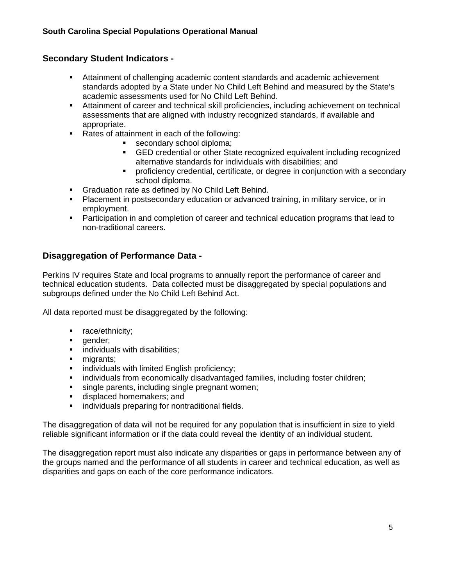# **Secondary Student Indicators -**

- Attainment of challenging academic content standards and academic achievement standards adopted by a State under No Child Left Behind and measured by the State's academic assessments used for No Child Left Behind.
- Attainment of career and technical skill proficiencies, including achievement on technical assessments that are aligned with industry recognized standards, if available and appropriate.
- Rates of attainment in each of the following:
	- secondary school diploma;
		- GED credential or other State recognized equivalent including recognized alternative standards for individuals with disabilities; and
		- proficiency credential, certificate, or degree in conjunction with a secondary school diploma.
- **Graduation rate as defined by No Child Left Behind.**
- **Placement in postsecondary education or advanced training, in military service, or in** employment.
- Participation in and completion of career and technical education programs that lead to non-traditional careers.

# **Disaggregation of Performance Data -**

Perkins IV requires State and local programs to annually report the performance of career and technical education students. Data collected must be disaggregated by special populations and subgroups defined under the No Child Left Behind Act.

All data reported must be disaggregated by the following:

- **F** race/ethnicity;
- **gender**;
- **I** individuals with disabilities;
- migrants:
- **Example 1** individuals with limited English proficiency;
- individuals from economically disadvantaged families, including foster children;
- single parents, including single pregnant women;
- **displaced homemakers; and**
- **If** individuals preparing for nontraditional fields.

The disaggregation of data will not be required for any population that is insufficient in size to yield reliable significant information or if the data could reveal the identity of an individual student.

The disaggregation report must also indicate any disparities or gaps in performance between any of the groups named and the performance of all students in career and technical education, as well as disparities and gaps on each of the core performance indicators.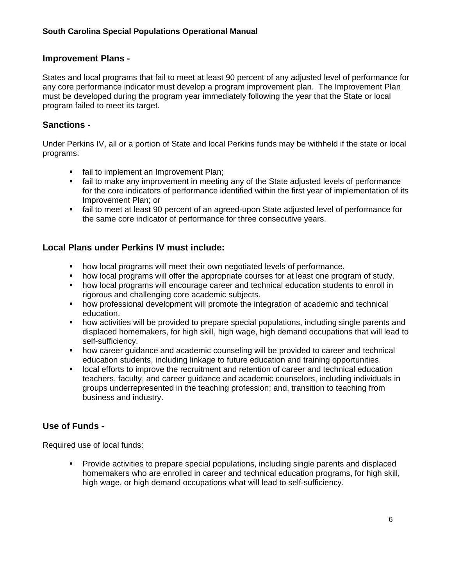## **Improvement Plans -**

States and local programs that fail to meet at least 90 percent of any adjusted level of performance for any core performance indicator must develop a program improvement plan. The Improvement Plan must be developed during the program year immediately following the year that the State or local program failed to meet its target.

## **Sanctions -**

Under Perkins IV, all or a portion of State and local Perkins funds may be withheld if the state or local programs:

- **fail to implement an Improvement Plan;**
- fail to make any improvement in meeting any of the State adjusted levels of performance for the core indicators of performance identified within the first year of implementation of its Improvement Plan; or
- fail to meet at least 90 percent of an agreed-upon State adjusted level of performance for the same core indicator of performance for three consecutive years.

# **Local Plans under Perkins IV must include:**

- how local programs will meet their own negotiated levels of performance.
- how local programs will offer the appropriate courses for at least one program of study.
- how local programs will encourage career and technical education students to enroll in rigorous and challenging core academic subjects.
- **how professional development will promote the integration of academic and technical** education.
- how activities will be provided to prepare special populations, including single parents and displaced homemakers, for high skill, high wage, high demand occupations that will lead to self-sufficiency.
- how career guidance and academic counseling will be provided to career and technical education students, including linkage to future education and training opportunities.
- **IDCAL EFFORT STATE INTERT FIGHTS IS EXECUTE:** local efforts to improve the recruitment and technical education teachers, faculty, and career guidance and academic counselors, including individuals in groups underrepresented in the teaching profession; and, transition to teaching from business and industry.

# **Use of Funds -**

Required use of local funds:

**Provide activities to prepare special populations, including single parents and displaced** homemakers who are enrolled in career and technical education programs, for high skill, high wage, or high demand occupations what will lead to self-sufficiency.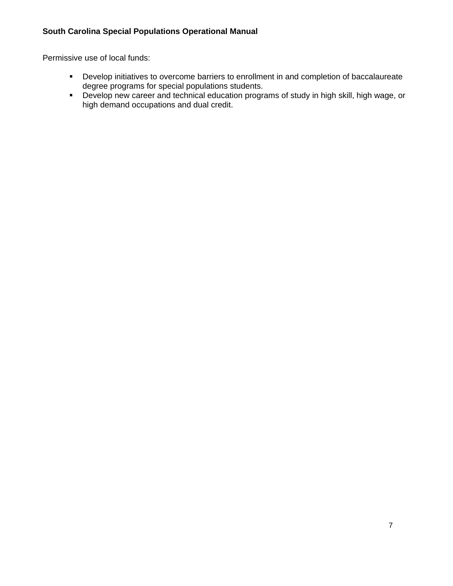Permissive use of local funds:

- Develop initiatives to overcome barriers to enrollment in and completion of baccalaureate degree programs for special populations students.
- Develop new career and technical education programs of study in high skill, high wage, or high demand occupations and dual credit.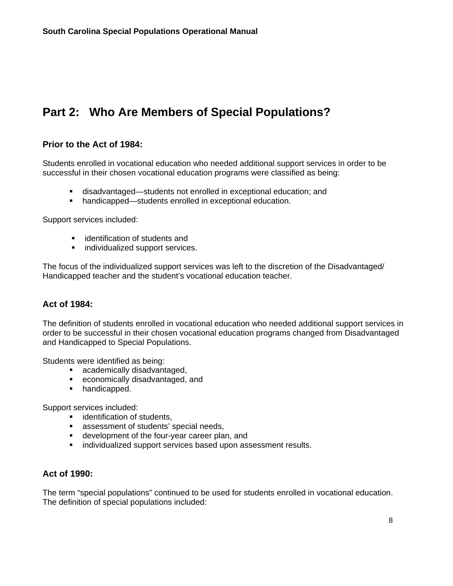# <span id="page-10-0"></span>**Part 2: Who Are Members of Special Populations?**

### **Prior to the Act of 1984:**

Students enrolled in vocational education who needed additional support services in order to be successful in their chosen vocational education programs were classified as being:

- disadvantaged—students not enrolled in exceptional education; and
- handicapped—students enrolled in exceptional education.

Support services included:

- **EXECUTE:** identification of students and
- **Individualized support services.**

The focus of the individualized support services was left to the discretion of the Disadvantaged/ Handicapped teacher and the student's vocational education teacher.

### **Act of 1984:**

The definition of students enrolled in vocational education who needed additional support services in order to be successful in their chosen vocational education programs changed from Disadvantaged and Handicapped to Special Populations.

Students were identified as being:

- **academically disadvantaged,**
- economically disadvantaged, and
- **handicapped.**

Support services included:

- **ullentification of students,**
- **assessment of students' special needs,**
- development of the four-year career plan, and
- **i** individualized support services based upon assessment results.

### **Act of 1990:**

The term "special populations" continued to be used for students enrolled in vocational education. The definition of special populations included: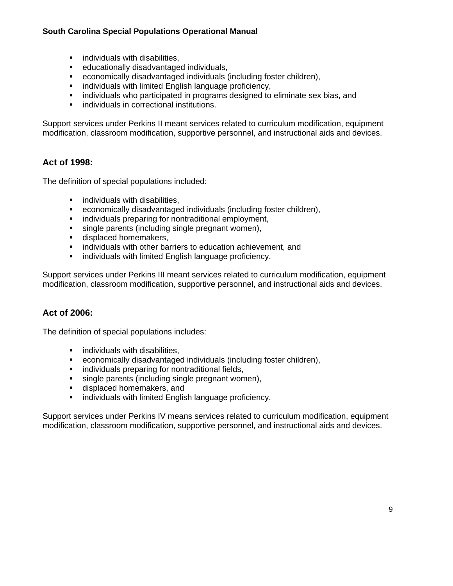- **If** individuals with disabilities,
- educationally disadvantaged individuals,
- **Example 15 and Conomically disadvantaged individuals (including foster children),**<br> **Example individuals with limited Fnglish language proficiency**
- individuals with limited English language proficiency,
- **EXED** individuals who participated in programs designed to eliminate sex bias, and
- **EXECUTE:** individuals in correctional institutions.

Support services under Perkins II meant services related to curriculum modification, equipment modification, classroom modification, supportive personnel, and instructional aids and devices.

# **Act of 1998:**

The definition of special populations included:

- **If** individuals with disabilities,
- economically disadvantaged individuals (including foster children),
- **Filter** individuals preparing for nontraditional employment,
- single parents (including single pregnant women),
- **displaced homemakers,**
- **EXEDENT** individuals with other barriers to education achievement, and
- **EXEDEE** individuals with limited English language proficiency.

Support services under Perkins III meant services related to curriculum modification, equipment modification, classroom modification, supportive personnel, and instructional aids and devices.

# **Act of 2006:**

The definition of special populations includes:

- **E** individuals with disabilities,
- economically disadvantaged individuals (including foster children),
- **F** individuals preparing for nontraditional fields,
- single parents (including single pregnant women),
- **displaced homemakers, and**
- **EXEDENT** individuals with limited English language proficiency.

Support services under Perkins IV means services related to curriculum modification, equipment modification, classroom modification, supportive personnel, and instructional aids and devices.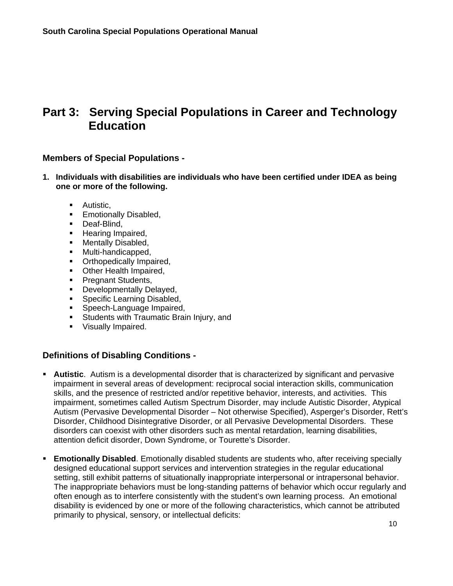# <span id="page-12-0"></span>**Part 3: Serving Special Populations in Career and Technology Education**

### **Members of Special Populations -**

- **1. Individuals with disabilities are individuals who have been certified under IDEA as being one or more of the following.** 
	- **Autistic.**
	- **Emotionally Disabled,**
	- **Deaf-Blind,**
	- **Hearing Impaired.**
	- **Mentally Disabled.**
	- **Multi-handicapped,**
	- **•** Orthopedically Impaired,
	- Other Health Impaired.
	- **Pregnant Students,**
	- **Developmentally Delayed,**
	- **Specific Learning Disabled,**
	- **Speech-Language Impaired,**
	- **Students with Traumatic Brain Injury, and**
	- **Visually Impaired.**

### **Definitions of Disabling Conditions -**

- **Autistic**. Autism is a developmental disorder that is characterized by significant and pervasive impairment in several areas of development: reciprocal social interaction skills, communication skills, and the presence of restricted and/or repetitive behavior, interests, and activities. This impairment, sometimes called Autism Spectrum Disorder, may include Autistic Disorder, Atypical Autism (Pervasive Developmental Disorder – Not otherwise Specified), Asperger's Disorder, Rett's Disorder, Childhood Disintegrative Disorder, or all Pervasive Developmental Disorders. These disorders can coexist with other disorders such as mental retardation, learning disabilities, attention deficit disorder, Down Syndrome, or Tourette's Disorder.
- **Emotionally Disabled**. Emotionally disabled students are students who, after receiving specially designed educational support services and intervention strategies in the regular educational setting, still exhibit patterns of situationally inappropriate interpersonal or intrapersonal behavior. The inappropriate behaviors must be long-standing patterns of behavior which occur regularly and often enough as to interfere consistently with the student's own learning process. An emotional disability is evidenced by one or more of the following characteristics, which cannot be attributed primarily to physical, sensory, or intellectual deficits: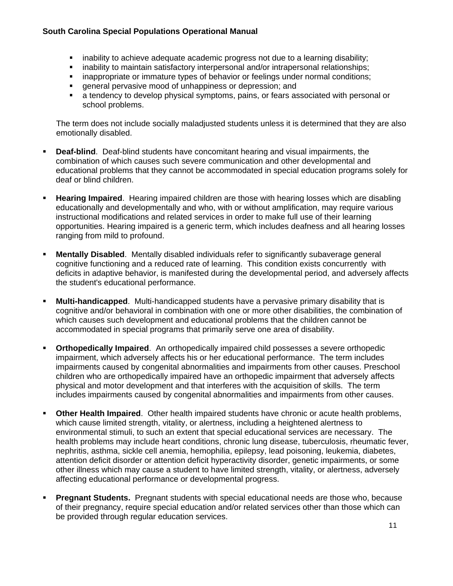- inability to achieve adequate academic progress not due to a learning disability;
- **EXED** inability to maintain satisfactory interpersonal and/or intrapersonal relationships;
- inappropriate or immature types of behavior or feelings under normal conditions;
- general pervasive mood of unhappiness or depression; and
- a tendency to develop physical symptoms, pains, or fears associated with personal or school problems.

 The term does not include socially maladjusted students unless it is determined that they are also emotionally disabled.

- **Deaf-blind**. Deaf-blind students have concomitant hearing and visual impairments, the combination of which causes such severe communication and other developmental and educational problems that they cannot be accommodated in special education programs solely for deaf or blind children.
- **Hearing Impaired**. Hearing impaired children are those with hearing losses which are disabling educationally and developmentally and who, with or without amplification, may require various instructional modifications and related services in order to make full use of their learning opportunities. Hearing impaired is a generic term, which includes deafness and all hearing losses ranging from mild to profound.
- **Mentally Disabled**. Mentally disabled individuals refer to significantly subaverage general cognitive functioning and a reduced rate of learning. This condition exists concurrently with deficits in adaptive behavior, is manifested during the developmental period, and adversely affects the student's educational performance.
- **Multi-handicapped**. Multi-handicapped students have a pervasive primary disability that is cognitive and/or behavioral in combination with one or more other disabilities, the combination of which causes such development and educational problems that the children cannot be accommodated in special programs that primarily serve one area of disability.
- **Orthopedically Impaired**. An orthopedically impaired child possesses a severe orthopedic impairment, which adversely affects his or her educational performance. The term includes impairments caused by congenital abnormalities and impairments from other causes. Preschool children who are orthopedically impaired have an orthopedic impairment that adversely affects physical and motor development and that interferes with the acquisition of skills. The term includes impairments caused by congenital abnormalities and impairments from other causes.
- **Other Health Impaired**. Other health impaired students have chronic or acute health problems, which cause limited strength, vitality, or alertness, including a heightened alertness to environmental stimuli, to such an extent that special educational services are necessary. The health problems may include heart conditions, chronic lung disease, tuberculosis, rheumatic fever, nephritis, asthma, sickle cell anemia, hemophilia, epilepsy, lead poisoning, leukemia, diabetes, attention deficit disorder or attention deficit hyperactivity disorder, genetic impairments, or some other illness which may cause a student to have limited strength, vitality, or alertness, adversely affecting educational performance or developmental progress.
- **Pregnant Students.** Pregnant students with special educational needs are those who, because of their pregnancy, require special education and/or related services other than those which can be provided through regular education services.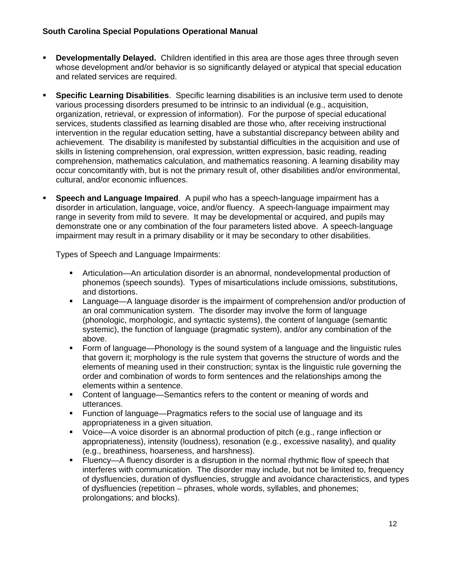- **Developmentally Delayed.** Children identified in this area are those ages three through seven whose development and/or behavior is so significantly delayed or atypical that special education and related services are required.
- **Specific Learning Disabilities**. Specific learning disabilities is an inclusive term used to denote various processing disorders presumed to be intrinsic to an individual (e.g., acquisition, organization, retrieval, or expression of information). For the purpose of special educational services, students classified as learning disabled are those who, after receiving instructional intervention in the regular education setting, have a substantial discrepancy between ability and achievement. The disability is manifested by substantial difficulties in the acquisition and use of skills in listening comprehension, oral expression, written expression, basic reading, reading comprehension, mathematics calculation, and mathematics reasoning. A learning disability may occur concomitantly with, but is not the primary result of, other disabilities and/or environmental, cultural, and/or economic influences.
- **Speech and Language Impaired**. A pupil who has a speech-language impairment has a disorder in articulation, language, voice, and/or fluency. A speech-language impairment may range in severity from mild to severe. It may be developmental or acquired, and pupils may demonstrate one or any combination of the four parameters listed above. A speech-language impairment may result in a primary disability or it may be secondary to other disabilities.

Types of Speech and Language Impairments:

- Articulation—An articulation disorder is an abnormal, nondevelopmental production of phonemos (speech sounds). Types of misarticulations include omissions, substitutions, and distortions.
- Language—A language disorder is the impairment of comprehension and/or production of an oral communication system. The disorder may involve the form of language (phonologic, morphologic, and syntactic systems), the content of language (semantic systemic), the function of language (pragmatic system), and/or any combination of the above.
- Form of language—Phonology is the sound system of a language and the linguistic rules that govern it; morphology is the rule system that governs the structure of words and the elements of meaning used in their construction; syntax is the linguistic rule governing the order and combination of words to form sentences and the relationships among the elements within a sentence.
- Content of language—Semantics refers to the content or meaning of words and utterances.
- Function of language—Pragmatics refers to the social use of language and its appropriateness in a given situation.
- Voice—A voice disorder is an abnormal production of pitch (e.g., range inflection or appropriateness), intensity (loudness), resonation (e.g., excessive nasality), and quality (e.g., breathiness, hoarseness, and harshness).
- **Filuency—A fluency disorder is a disruption in the normal rhythmic flow of speech that** interferes with communication. The disorder may include, but not be limited to, frequency of dysfluencies, duration of dysfluencies, struggle and avoidance characteristics, and types of dysfluencies (repetition – phrases, whole words, syllables, and phonemes; prolongations; and blocks).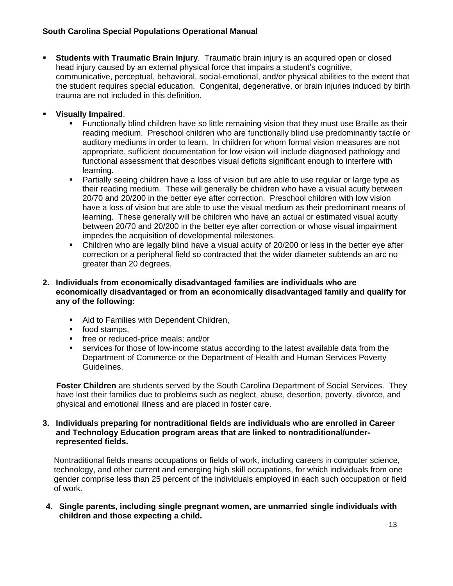**Students with Traumatic Brain Injury.** Traumatic brain injury is an acquired open or closed head injury caused by an external physical force that impairs a student's cognitive, communicative, perceptual, behavioral, social-emotional, and/or physical abilities to the extent that the student requires special education. Congenital, degenerative, or brain injuries induced by birth trauma are not included in this definition.

### **Visually Impaired**.

- Functionally blind children have so little remaining vision that they must use Braille as their reading medium. Preschool children who are functionally blind use predominantly tactile or auditory mediums in order to learn. In children for whom formal vision measures are not appropriate, sufficient documentation for low vision will include diagnosed pathology and functional assessment that describes visual deficits significant enough to interfere with learning.
- Partially seeing children have a loss of vision but are able to use regular or large type as their reading medium. These will generally be children who have a visual acuity between 20/70 and 20/200 in the better eye after correction. Preschool children with low vision have a loss of vision but are able to use the visual medium as their predominant means of learning. These generally will be children who have an actual or estimated visual acuity between 20/70 and 20/200 in the better eye after correction or whose visual impairment impedes the acquisition of developmental milestones.
- Children who are legally blind have a visual acuity of 20/200 or less in the better eye after correction or a peripheral field so contracted that the wider diameter subtends an arc no greater than 20 degrees.
- **2. Individuals from economically disadvantaged families are individuals who are economically disadvantaged or from an economically disadvantaged family and qualify for any of the following:** 
	- Aid to Families with Dependent Children,
	- **food stamps,**
	- **free or reduced-price meals; and/or**
	- services for those of low-income status according to the latest available data from the Department of Commerce or the Department of Health and Human Services Poverty Guidelines.

 **Foster Children** are students served by the South Carolina Department of Social Services. They have lost their families due to problems such as neglect, abuse, desertion, poverty, divorce, and physical and emotional illness and are placed in foster care.

**3. Individuals preparing for nontraditional fields are individuals who are enrolled in Career and Technology Education program areas that are linked to nontraditional/underrepresented fields.** 

 Nontraditional fields means occupations or fields of work, including careers in computer science, technology, and other current and emerging high skill occupations, for which individuals from one gender comprise less than 25 percent of the individuals employed in each such occupation or field of work.

**4. Single parents, including single pregnant women, are unmarried single individuals with children and those expecting a child.**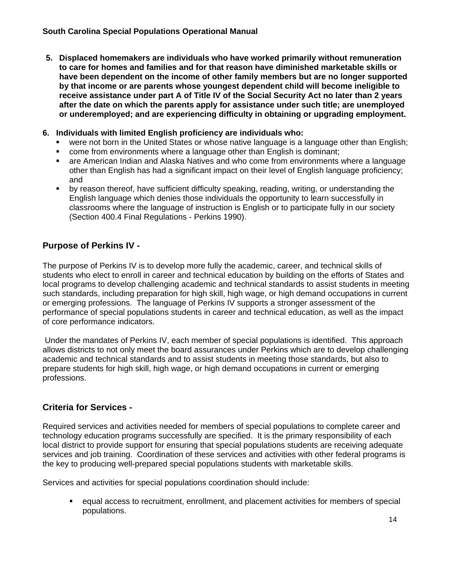**5. Displaced homemakers are individuals who have worked primarily without remuneration to care for homes and families and for that reason have diminished marketable skills or have been dependent on the income of other family members but are no longer supported by that income or are parents whose youngest dependent child will become ineligible to receive assistance under part A of Title IV of the Social Security Act no later than 2 years after the date on which the parents apply for assistance under such title; are unemployed or underemployed; and are experiencing difficulty in obtaining or upgrading employment.** 

#### **6. Individuals with limited English proficiency are individuals who:**

- were not born in the United States or whose native language is a language other than English;
- come from environments where a language other than English is dominant;
- are American Indian and Alaska Natives and who come from environments where a language other than English has had a significant impact on their level of English language proficiency; and
- by reason thereof, have sufficient difficulty speaking, reading, writing, or understanding the English language which denies those individuals the opportunity to learn successfully in classrooms where the language of instruction is English or to participate fully in our society (Section 400.4 Final Regulations - Perkins 1990).

## **Purpose of Perkins IV -**

The purpose of Perkins IV is to develop more fully the academic, career, and technical skills of students who elect to enroll in career and technical education by building on the efforts of States and local programs to develop challenging academic and technical standards to assist students in meeting such standards, including preparation for high skill, high wage, or high demand occupations in current or emerging professions. The language of Perkins IV supports a stronger assessment of the performance of special populations students in career and technical education, as well as the impact of core performance indicators.

 Under the mandates of Perkins IV, each member of special populations is identified. This approach allows districts to not only meet the board assurances under Perkins which are to develop challenging academic and technical standards and to assist students in meeting those standards, but also to prepare students for high skill, high wage, or high demand occupations in current or emerging professions.

## **Criteria for Services -**

Required services and activities needed for members of special populations to complete career and technology education programs successfully are specified. It is the primary responsibility of each local district to provide support for ensuring that special populations students are receiving adequate services and job training. Coordination of these services and activities with other federal programs is the key to producing well-prepared special populations students with marketable skills.

Services and activities for special populations coordination should include:

 equal access to recruitment, enrollment, and placement activities for members of special populations.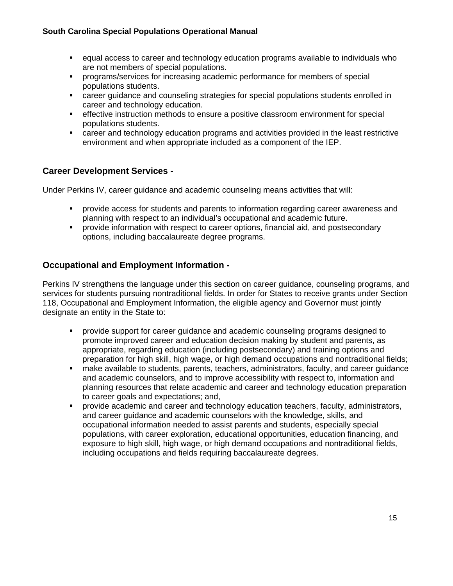- equal access to career and technology education programs available to individuals who are not members of special populations.
- programs/services for increasing academic performance for members of special populations students.
- career guidance and counseling strategies for special populations students enrolled in career and technology education.
- effective instruction methods to ensure a positive classroom environment for special populations students.
- career and technology education programs and activities provided in the least restrictive environment and when appropriate included as a component of the IEP.

# **Career Development Services -**

Under Perkins IV, career guidance and academic counseling means activities that will:

- provide access for students and parents to information regarding career awareness and planning with respect to an individual's occupational and academic future.
- **Part of the information with respect to career options, financial aid, and postsecondary** options, including baccalaureate degree programs.

## **Occupational and Employment Information -**

Perkins IV strengthens the language under this section on career guidance, counseling programs, and services for students pursuing nontraditional fields. In order for States to receive grants under Section 118, Occupational and Employment Information, the eligible agency and Governor must jointly designate an entity in the State to:

- provide support for career guidance and academic counseling programs designed to promote improved career and education decision making by student and parents, as appropriate, regarding education (including postsecondary) and training options and preparation for high skill, high wage, or high demand occupations and nontraditional fields;
- make available to students, parents, teachers, administrators, faculty, and career guidance and academic counselors, and to improve accessibility with respect to, information and planning resources that relate academic and career and technology education preparation to career goals and expectations; and,
- provide academic and career and technology education teachers, faculty, administrators, and career guidance and academic counselors with the knowledge, skills, and occupational information needed to assist parents and students, especially special populations, with career exploration, educational opportunities, education financing, and exposure to high skill, high wage, or high demand occupations and nontraditional fields, including occupations and fields requiring baccalaureate degrees.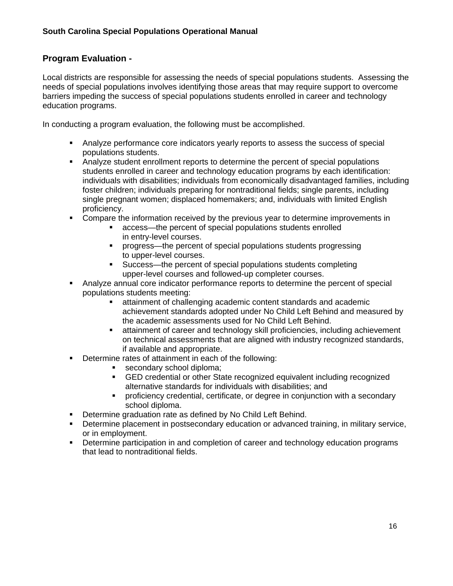# **Program Evaluation -**

Local districts are responsible for assessing the needs of special populations students. Assessing the needs of special populations involves identifying those areas that may require support to overcome barriers impeding the success of special populations students enrolled in career and technology education programs.

In conducting a program evaluation, the following must be accomplished.

- Analyze performance core indicators yearly reports to assess the success of special populations students.
- Analyze student enrollment reports to determine the percent of special populations students enrolled in career and technology education programs by each identification: individuals with disabilities; individuals from economically disadvantaged families, including foster children; individuals preparing for nontraditional fields; single parents, including single pregnant women; displaced homemakers; and, individuals with limited English proficiency.
- Compare the information received by the previous year to determine improvements in
	- access—the percent of special populations students enrolled in entry-level courses.
	- progress—the percent of special populations students progressing to upper-level courses.
	- Success—the percent of special populations students completing upper-level courses and followed-up completer courses.
- Analyze annual core indicator performance reports to determine the percent of special populations students meeting:
	- attainment of challenging academic content standards and academic achievement standards adopted under No Child Left Behind and measured by the academic assessments used for No Child Left Behind.
	- attainment of career and technology skill proficiencies, including achievement on technical assessments that are aligned with industry recognized standards, if available and appropriate.
- **•** Determine rates of attainment in each of the following:
	- secondary school diploma;
	- GED credential or other State recognized equivalent including recognized alternative standards for individuals with disabilities; and
	- proficiency credential, certificate, or degree in conjunction with a secondary school diploma.
- **Determine graduation rate as defined by No Child Left Behind.**
- Determine placement in postsecondary education or advanced training, in military service, or in employment.
- **Determine participation in and completion of career and technology education programs** that lead to nontraditional fields.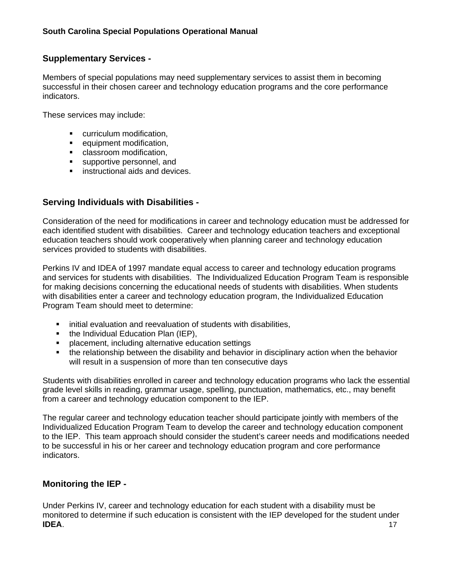## **Supplementary Services -**

Members of special populations may need supplementary services to assist them in becoming successful in their chosen career and technology education programs and the core performance indicators.

These services may include:

- **•** curriculum modification,
- **equipment modification,**
- **Classroom modification,**
- supportive personnel, and
- **EXECUTE:** instructional aids and devices.

# **Serving Individuals with Disabilities -**

Consideration of the need for modifications in career and technology education must be addressed for each identified student with disabilities. Career and technology education teachers and exceptional education teachers should work cooperatively when planning career and technology education services provided to students with disabilities.

Perkins IV and IDEA of 1997 mandate equal access to career and technology education programs and services for students with disabilities. The Individualized Education Program Team is responsible for making decisions concerning the educational needs of students with disabilities. When students with disabilities enter a career and technology education program, the Individualized Education Program Team should meet to determine:

- **EXEDENT** initial evaluation and reevaluation of students with disabilities,
- the Individual Education Plan (IEP),
- placement, including alternative education settings
- the relationship between the disability and behavior in disciplinary action when the behavior will result in a suspension of more than ten consecutive days

Students with disabilities enrolled in career and technology education programs who lack the essential grade level skills in reading, grammar usage, spelling, punctuation, mathematics, etc., may benefit from a career and technology education component to the IEP.

The regular career and technology education teacher should participate jointly with members of the Individualized Education Program Team to develop the career and technology education component to the IEP. This team approach should consider the student's career needs and modifications needed to be successful in his or her career and technology education program and core performance indicators.

## **Monitoring the IEP -**

Under Perkins IV, career and technology education for each student with a disability must be monitored to determine if such education is consistent with the IEP developed for the student under **IDEA**. 17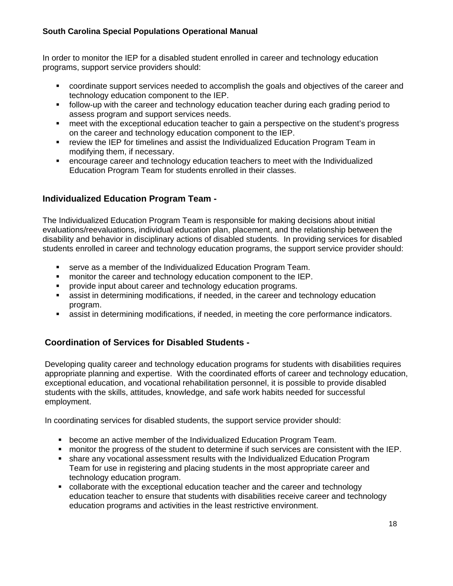In order to monitor the IEP for a disabled student enrolled in career and technology education programs, support service providers should:

- coordinate support services needed to accomplish the goals and objectives of the career and technology education component to the IEP.
- follow-up with the career and technology education teacher during each grading period to assess program and support services needs.
- meet with the exceptional education teacher to gain a perspective on the student's progress on the career and technology education component to the IEP.
- **F** review the IEP for timelines and assist the Individualized Education Program Team in modifying them, if necessary.
- encourage career and technology education teachers to meet with the Individualized Education Program Team for students enrolled in their classes.

# **Individualized Education Program Team -**

The Individualized Education Program Team is responsible for making decisions about initial evaluations/reevaluations, individual education plan, placement, and the relationship between the disability and behavior in disciplinary actions of disabled students. In providing services for disabled students enrolled in career and technology education programs, the support service provider should:

- serve as a member of the Individualized Education Program Team.
- **number** monitor the career and technology education component to the IEP.
- provide input about career and technology education programs.
- assist in determining modifications, if needed, in the career and technology education program.
- assist in determining modifications, if needed, in meeting the core performance indicators.

## **Coordination of Services for Disabled Students -**

Developing quality career and technology education programs for students with disabilities requires appropriate planning and expertise. With the coordinated efforts of career and technology education, exceptional education, and vocational rehabilitation personnel, it is possible to provide disabled students with the skills, attitudes, knowledge, and safe work habits needed for successful employment.

In coordinating services for disabled students, the support service provider should:

- become an active member of the Individualized Education Program Team.
- monitor the progress of the student to determine if such services are consistent with the IEP.
- share any vocational assessment results with the Individualized Education Program Team for use in registering and placing students in the most appropriate career and technology education program.
- collaborate with the exceptional education teacher and the career and technology education teacher to ensure that students with disabilities receive career and technology education programs and activities in the least restrictive environment.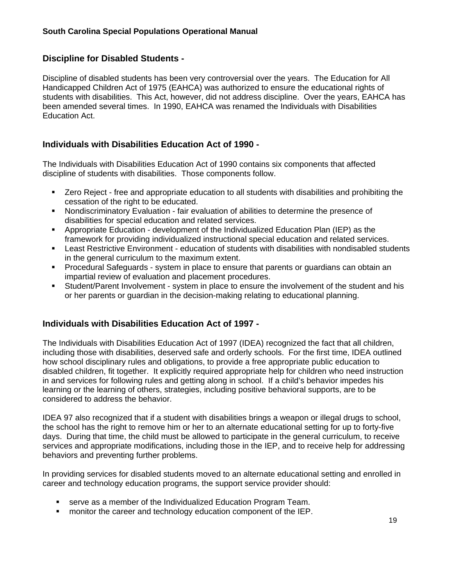## **Discipline for Disabled Students -**

Discipline of disabled students has been very controversial over the years. The Education for All Handicapped Children Act of 1975 (EAHCA) was authorized to ensure the educational rights of students with disabilities. This Act, however, did not address discipline. Over the years, EAHCA has been amended several times. In 1990, EAHCA was renamed the Individuals with Disabilities Education Act.

## **Individuals with Disabilities Education Act of 1990 -**

The Individuals with Disabilities Education Act of 1990 contains six components that affected discipline of students with disabilities. Those components follow.

- Zero Reject free and appropriate education to all students with disabilities and prohibiting the cessation of the right to be educated.
- Nondiscriminatory Evaluation fair evaluation of abilities to determine the presence of disabilities for special education and related services.
- Appropriate Education development of the Individualized Education Plan (IEP) as the framework for providing individualized instructional special education and related services.
- Least Restrictive Environment education of students with disabilities with nondisabled students in the general curriculum to the maximum extent.
- Procedural Safeguards system in place to ensure that parents or guardians can obtain an impartial review of evaluation and placement procedures.
- Student/Parent Involvement system in place to ensure the involvement of the student and his or her parents or guardian in the decision-making relating to educational planning.

## **Individuals with Disabilities Education Act of 1997 -**

The Individuals with Disabilities Education Act of 1997 (IDEA) recognized the fact that all children, including those with disabilities, deserved safe and orderly schools. For the first time, IDEA outlined how school disciplinary rules and obligations, to provide a free appropriate public education to disabled children, fit together. It explicitly required appropriate help for children who need instruction in and services for following rules and getting along in school. If a child's behavior impedes his learning or the learning of others, strategies, including positive behavioral supports, are to be considered to address the behavior.

IDEA 97 also recognized that if a student with disabilities brings a weapon or illegal drugs to school, the school has the right to remove him or her to an alternate educational setting for up to forty-five days. During that time, the child must be allowed to participate in the general curriculum, to receive services and appropriate modifications, including those in the IEP, and to receive help for addressing behaviors and preventing further problems.

In providing services for disabled students moved to an alternate educational setting and enrolled in career and technology education programs, the support service provider should:

- serve as a member of the Individualized Education Program Team.
- **F** monitor the career and technology education component of the IEP.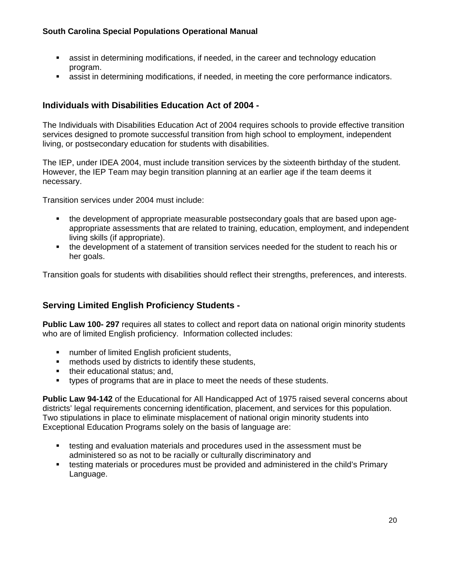- **EXT** assist in determining modifications, if needed, in the career and technology education program.
- assist in determining modifications, if needed, in meeting the core performance indicators.

# **Individuals with Disabilities Education Act of 2004 -**

The Individuals with Disabilities Education Act of 2004 requires schools to provide effective transition services designed to promote successful transition from high school to employment, independent living, or postsecondary education for students with disabilities.

The IEP, under IDEA 2004, must include transition services by the sixteenth birthday of the student. However, the IEP Team may begin transition planning at an earlier age if the team deems it necessary.

Transition services under 2004 must include:

- the development of appropriate measurable postsecondary goals that are based upon ageappropriate assessments that are related to training, education, employment, and independent living skills (if appropriate).
- the development of a statement of transition services needed for the student to reach his or her goals.

Transition goals for students with disabilities should reflect their strengths, preferences, and interests.

# **Serving Limited English Proficiency Students -**

**Public Law 100- 297** requires all states to collect and report data on national origin minority students who are of limited English proficiency. Information collected includes:

- number of limited English proficient students,
- **number** methods used by districts to identify these students,
- their educational status; and,
- types of programs that are in place to meet the needs of these students.

**Public Law 94-142** of the Educational for All Handicapped Act of 1975 raised several concerns about districts' legal requirements concerning identification, placement, and services for this population. Two stipulations in place to eliminate misplacement of national origin minority students into Exceptional Education Programs solely on the basis of language are:

- testing and evaluation materials and procedures used in the assessment must be administered so as not to be racially or culturally discriminatory and
- testing materials or procedures must be provided and administered in the child's Primary Language.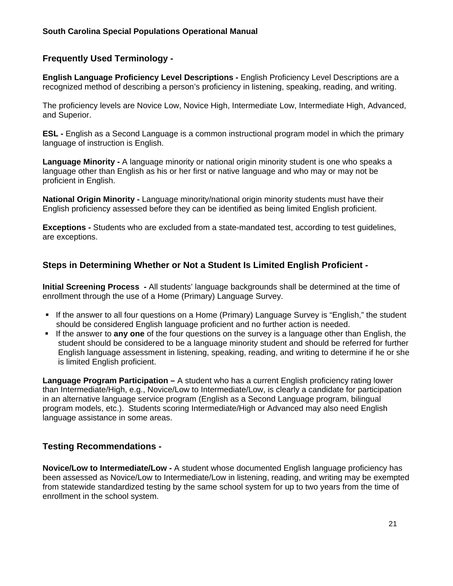## **Frequently Used Terminology -**

**English Language Proficiency Level Descriptions -** English Proficiency Level Descriptions are a recognized method of describing a person's proficiency in listening, speaking, reading, and writing.

The proficiency levels are Novice Low, Novice High, Intermediate Low, Intermediate High, Advanced, and Superior.

**ESL** - English as a Second Language is a common instructional program model in which the primary language of instruction is English.

**Language Minority -** A language minority or national origin minority student is one who speaks a language other than English as his or her first or native language and who may or may not be proficient in English.

**National Origin Minority - Language minority/national origin minority students must have their** English proficiency assessed before they can be identified as being limited English proficient.

**Exceptions -** Students who are excluded from a state-mandated test, according to test guidelines, are exceptions.

# **Steps in Determining Whether or Not a Student Is Limited English Proficient -**

**Initial Screening Process -** All students' language backgrounds shall be determined at the time of enrollment through the use of a Home (Primary) Language Survey.

- If the answer to all four questions on a Home (Primary) Language Survey is "English," the student should be considered English language proficient and no further action is needed.
- If the answer to **any one** of the four questions on the survey is a language other than English, the student should be considered to be a language minority student and should be referred for further English language assessment in listening, speaking, reading, and writing to determine if he or she is limited English proficient.

**Language Program Participation –** A student who has a current English proficiency rating lower than Intermediate/High, e.g., Novice/Low to Intermediate/Low, is clearly a candidate for participation in an alternative language service program (English as a Second Language program, bilingual program models, etc.). Students scoring Intermediate/High or Advanced may also need English language assistance in some areas.

## **Testing Recommendations -**

**Novice/Low to Intermediate/Low -** A student whose documented English language proficiency has been assessed as Novice/Low to Intermediate/Low in listening, reading, and writing may be exempted from statewide standardized testing by the same school system for up to two years from the time of enrollment in the school system.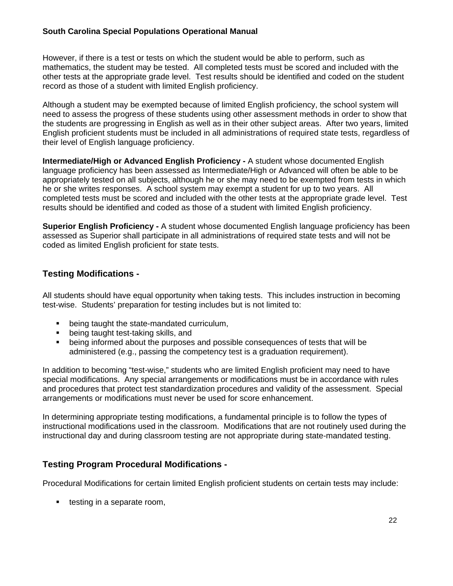However, if there is a test or tests on which the student would be able to perform, such as mathematics, the student may be tested. All completed tests must be scored and included with the other tests at the appropriate grade level. Test results should be identified and coded on the student record as those of a student with limited English proficiency.

Although a student may be exempted because of limited English proficiency, the school system will need to assess the progress of these students using other assessment methods in order to show that the students are progressing in English as well as in their other subject areas. After two years, limited English proficient students must be included in all administrations of required state tests, regardless of their level of English language proficiency.

**Intermediate/High or Advanced English Proficiency -** A student whose documented English language proficiency has been assessed as Intermediate/High or Advanced will often be able to be appropriately tested on all subjects, although he or she may need to be exempted from tests in which he or she writes responses. A school system may exempt a student for up to two years. All completed tests must be scored and included with the other tests at the appropriate grade level. Test results should be identified and coded as those of a student with limited English proficiency.

**Superior English Proficiency -** A student whose documented English language proficiency has been assessed as Superior shall participate in all administrations of required state tests and will not be coded as limited English proficient for state tests.

# **Testing Modifications -**

All students should have equal opportunity when taking tests.This includes instruction in becoming test-wise. Students' preparation for testing includes but is not limited to:

- **•** being taught the state-mandated curriculum,
- **•** being taught test-taking skills, and
- being informed about the purposes and possible consequences of tests that will be administered (e.g., passing the competency test is a graduation requirement).

In addition to becoming "test-wise," students who are limited English proficient may need to have special modifications. Any special arrangements or modifications must be in accordance with rules and procedures that protect test standardization procedures and validity of the assessment. Special arrangements or modifications must never be used for score enhancement.

In determining appropriate testing modifications, a fundamental principle is to follow the types of instructional modifications used in the classroom. Modifications that are not routinely used during the instructional day and during classroom testing are not appropriate during state-mandated testing.

# **Testing Program Procedural Modifications -**

Procedural Modifications for certain limited English proficient students on certain tests may include:

■ testing in a separate room,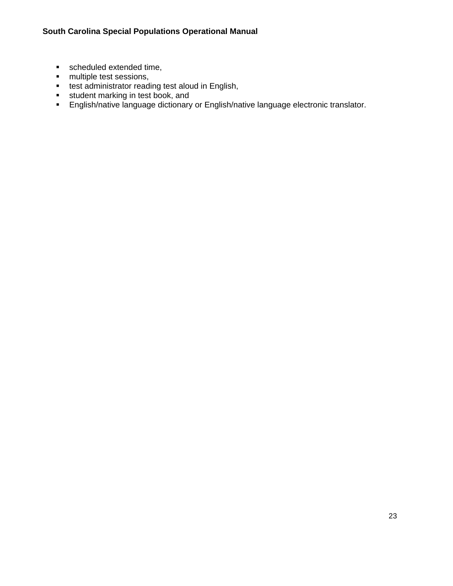- scheduled extended time,
- **n** multiple test sessions,
- **test administrator reading test aloud in English,**
- **student marking in test book, and**
- **English/native language dictionary or English/native language electronic translator.**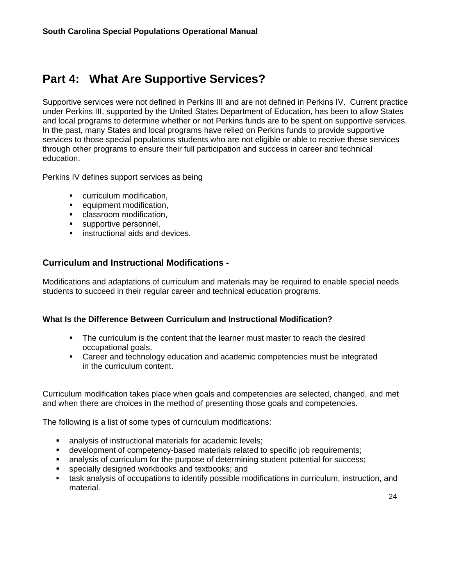# <span id="page-26-0"></span>**Part 4: What Are Supportive Services?**

Supportive services were not defined in Perkins III and are not defined in Perkins IV. Current practice under Perkins III, supported by the United States Department of Education, has been to allow States and local programs to determine whether or not Perkins funds are to be spent on supportive services. In the past, many States and local programs have relied on Perkins funds to provide supportive services to those special populations students who are not eligible or able to receive these services through other programs to ensure their full participation and success in career and technical education.

Perkins IV defines support services as being

- **•** curriculum modification,
- **EXECUTED** equipment modification,
- **EXECUTE:** classroom modification,
- supportive personnel,
- **EXECUTE:** instructional aids and devices.

### **Curriculum and Instructional Modifications -**

Modifications and adaptations of curriculum and materials may be required to enable special needs students to succeed in their regular career and technical education programs.

### **What Is the Difference Between Curriculum and Instructional Modification?**

- The curriculum is the content that the learner must master to reach the desired occupational goals.
- Career and technology education and academic competencies must be integrated in the curriculum content.

Curriculum modification takes place when goals and competencies are selected, changed, and met and when there are choices in the method of presenting those goals and competencies.

The following is a list of some types of curriculum modifications:

- analysis of instructional materials for academic levels;
- development of competency-based materials related to specific job requirements;
- analysis of curriculum for the purpose of determining student potential for success;
- specially designed workbooks and textbooks; and
- task analysis of occupations to identify possible modifications in curriculum, instruction, and material.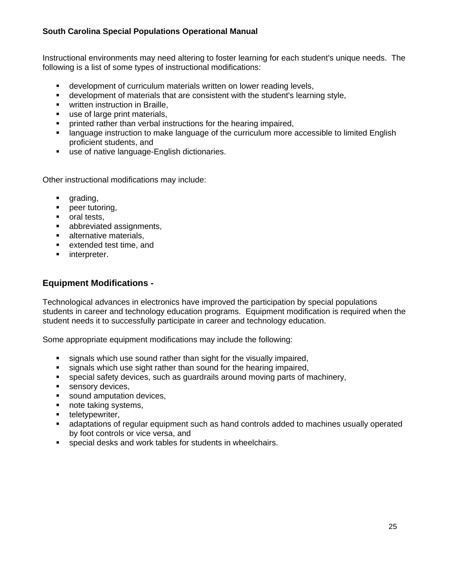Instructional environments may need altering to foster learning for each student's unique needs. The following is a list of some types of instructional modifications:

- development of curriculum materials written on lower reading levels,
- development of materials that are consistent with the student's learning style,
- **•** written instruction in Braille,
- use of large print materials,
- **•** printed rather than verbal instructions for the hearing impaired,
- language instruction to make language of the curriculum more accessible to limited English proficient students, and
- use of native language-English dictionaries.

Other instructional modifications may include:

- **grading,**
- **•** peer tutoring,
- **oral tests.**
- **abbreviated assignments,**
- **alternative materials,**
- **EXTENDED EXTENDED extended test time, and**
- **numieral** interpreter.

# **Equipment Modifications -**

Technological advances in electronics have improved the participation by special populations students in career and technology education programs. Equipment modification is required when the student needs it to successfully participate in career and technology education.

Some appropriate equipment modifications may include the following:

- signals which use sound rather than sight for the visually impaired,
- signals which use sight rather than sound for the hearing impaired,
- special safety devices, such as guardrails around moving parts of machinery,
- sensory devices,
- sound amputation devices,
- note taking systems,
- **•** teletypewriter,
- adaptations of regular equipment such as hand controls added to machines usually operated by foot controls or vice versa, and
- special desks and work tables for students in wheelchairs.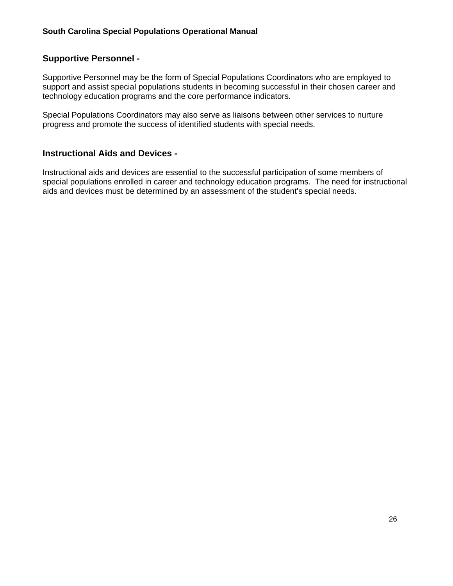# **Supportive Personnel -**

Supportive Personnel may be the form of Special Populations Coordinators who are employed to support and assist special populations students in becoming successful in their chosen career and technology education programs and the core performance indicators.

Special Populations Coordinators may also serve as liaisons between other services to nurture progress and promote the success of identified students with special needs.

### **Instructional Aids and Devices -**

Instructional aids and devices are essential to the successful participation of some members of special populations enrolled in career and technology education programs. The need for instructional aids and devices must be determined by an assessment of the student's special needs.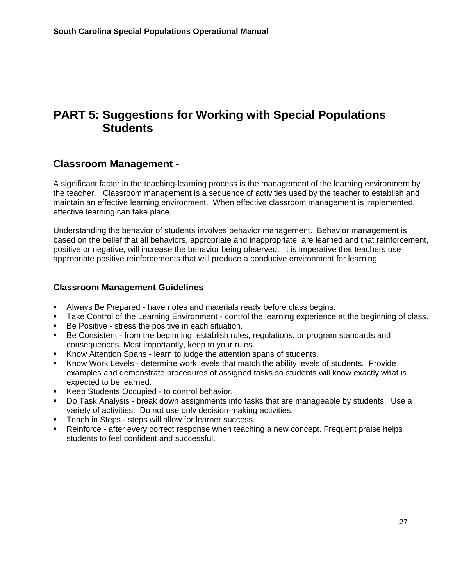# <span id="page-29-0"></span>**PART 5: Suggestions for Working with Special Populations Students**

# **Classroom Management -**

A significant factor in the teaching-learning process is the management of the learning environment by the teacher. Classroom management is a sequence of activities used by the teacher to establish and maintain an effective learning environment. When effective classroom management is implemented, effective learning can take place.

Understanding the behavior of students involves behavior management. Behavior management is based on the belief that all behaviors, appropriate and inappropriate, are learned and that reinforcement, positive or negative, will increase the behavior being observed. It is imperative that teachers use appropriate positive reinforcements that will produce a conducive environment for learning.

### **Classroom Management Guidelines**

- Always Be Prepared have notes and materials ready before class begins.
- **Take Control of the Learning Environment control the learning experience at the beginning of class.**
- Be Positive stress the positive in each situation.
- Be Consistent from the beginning, establish rules, regulations, or program standards and consequences. Most importantly, keep to your rules.
- Know Attention Spans learn to judge the attention spans of students.
- Know Work Levels determine work levels that match the ability levels of students. Provide examples and demonstrate procedures of assigned tasks so students will know exactly what is expected to be learned.
- **Keep Students Occupied to control behavior.**
- Do Task Analysis break down assignments into tasks that are manageable by students. Use a variety of activities. Do not use only decision-making activities.
- **Teach in Steps steps will allow for learner success.**
- Reinforce after every correct response when teaching a new concept. Frequent praise helps students to feel confident and successful.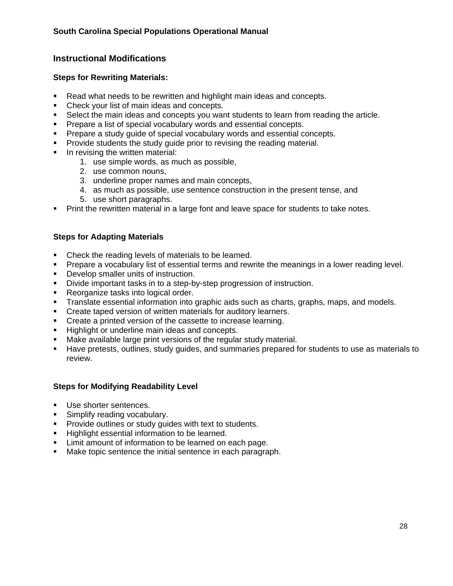# **Instructional Modifications**

### **Steps for Rewriting Materials:**

- Read what needs to be rewritten and highlight main ideas and concepts.
- Check your list of main ideas and concepts.
- Select the main ideas and concepts you want students to learn from reading the article.
- **Prepare a list of special vocabulary words and essential concepts.**
- **Prepare a study guide of special vocabulary words and essential concepts.**
- **Provide students the study quide prior to revising the reading material.**
- **IF** In revising the written material:
	- 1. use simple words, as much as possible,
	- 2. use common nouns,
	- 3. underline proper names and main concepts,
	- 4. as much as possible, use sentence construction in the present tense, and
	- 5. use short paragraphs.
- **Print the rewritten material in a large font and leave space for students to take notes.**

## **Steps for Adapting Materials**

- Check the reading levels of materials to be learned.
- **Prepare a vocabulary list of essential terms and rewrite the meanings in a lower reading level.**
- **Develop smaller units of instruction.**
- Divide important tasks in to a step-by-step progression of instruction.
- Reorganize tasks into logical order.
- **Translate essential information into graphic aids such as charts, graphs, maps, and models.**
- **Create taped version of written materials for auditory learners.**
- Create a printed version of the cassette to increase learning.
- **Highlight or underline main ideas and concepts.**
- Make available large print versions of the regular study material.
- Have pretests, outlines, study guides, and summaries prepared for students to use as materials to review.

## **Steps for Modifying Readability Level**

- Use shorter sentences.
- **Simplify reading vocabulary.**
- **Provide outlines or study guides with text to students.**
- **Highlight essential information to be learned.**
- **EXECT** Limit amount of information to be learned on each page.
- Make topic sentence the initial sentence in each paragraph.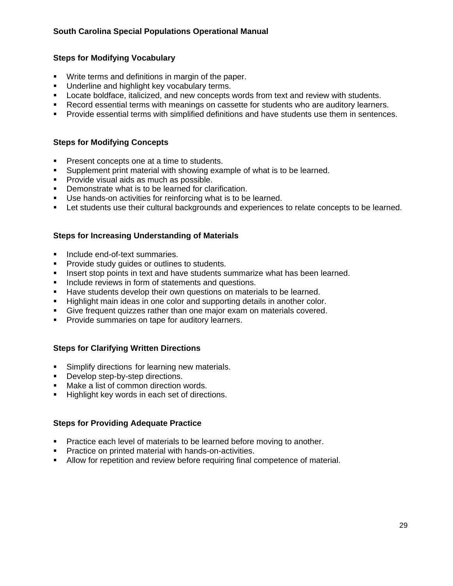## **Steps for Modifying Vocabulary**

- Write terms and definitions in margin of the paper.
- **Underline and highlight key vocabulary terms.**
- Locate boldface, italicized, and new concepts words from text and review with students.
- Record essential terms with meanings on cassette for students who are auditory learners.
- Provide essential terms with simplified definitions and have students use them in sentences.

### **Steps for Modifying Concepts**

- **Present concepts one at a time to students.**
- Supplement print material with showing example of what is to be learned.
- **Provide visual aids as much as possible.**
- **Demonstrate what is to be learned for clarification.**
- Use hands-on activities for reinforcing what is to be learned.
- **EXECT Let students use their cultural backgrounds and experiences to relate concepts to be learned.**

### **Steps for Increasing Understanding of Materials**

- Include end-of-text summaries.
- Provide study guides or outlines to students.
- Insert stop points in text and have students summarize what has been learned.
- Include reviews in form of statements and questions.
- Have students develop their own questions on materials to be learned.
- Highlight main ideas in one color and supporting details in another color.
- Give frequent quizzes rather than one major exam on materials covered.
- **Provide summaries on tape for auditory learners.**

### **Steps for Clarifying Written Directions**

- **Simplify directions for learning new materials.**
- Develop step-by-step directions.
- Make a list of common direction words.
- Highlight key words in each set of directions.

### **Steps for Providing Adequate Practice**

- **Practice each level of materials to be learned before moving to another.**
- **Practice on printed material with hands-on-activities.**
- Allow for repetition and review before requiring final competence of material.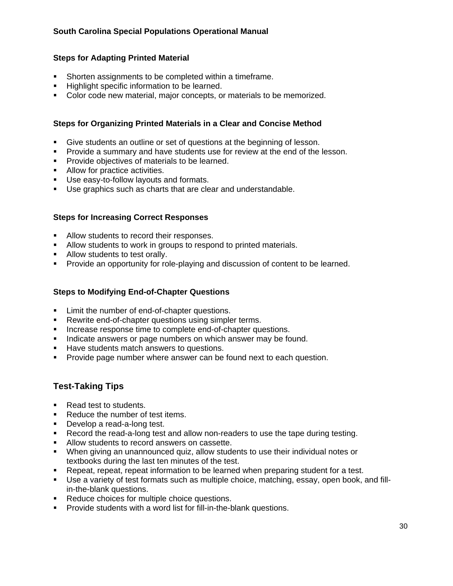### **Steps for Adapting Printed Material**

- Shorten assignments to be completed within a timeframe.
- **Highlight specific information to be learned.**
- **Color code new material, major concepts, or materials to be memorized.**

## **Steps for Organizing Printed Materials in a Clear and Concise Method**

- Give students an outline or set of questions at the beginning of lesson.
- Provide a summary and have students use for review at the end of the lesson.
- **Provide objectives of materials to be learned.**
- Allow for practice activities.
- Use easy-to-follow layouts and formats.
- Use graphics such as charts that are clear and understandable.

### **Steps for Increasing Correct Responses**

- **Allow students to record their responses.**
- **Allow students to work in groups to respond to printed materials.**
- Allow students to test orally.
- **Provide an opportunity for role-playing and discussion of content to be learned.**

### **Steps to Modifying End-of-Chapter Questions**

- **EXECUTE:** Limit the number of end-of-chapter questions.
- **Rewrite end-of-chapter questions using simpler terms.**
- **Increase response time to complete end-of-chapter questions.**
- Indicate answers or page numbers on which answer may be found.
- **Have students match answers to questions.**
- **Provide page number where answer can be found next to each question.**

## **Test-Taking Tips**

- Read test to students.
- Reduce the number of test items.
- Develop a read-a-long test.
- Record the read-a-long test and allow non-readers to use the tape during testing.
- Allow students to record answers on cassette.
- When giving an unannounced quiz, allow students to use their individual notes or textbooks during the last ten minutes of the test.
- Repeat, repeat, repeat information to be learned when preparing student for a test.
- Use a variety of test formats such as multiple choice, matching, essay, open book, and fillin-the-blank questions.
- **Reduce choices for multiple choice questions.**
- **Provide students with a word list for fill-in-the-blank questions.**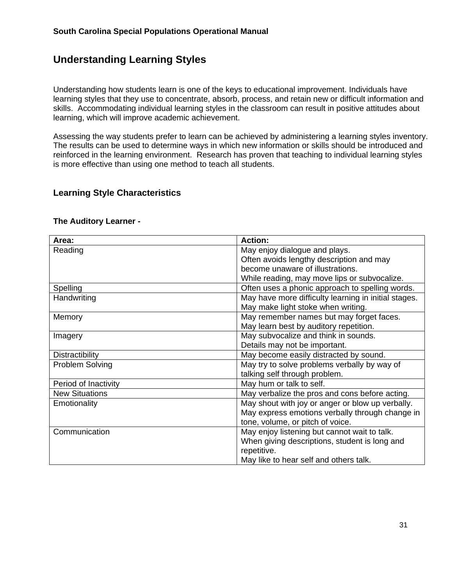# **Understanding Learning Styles**

Understanding how students learn is one of the keys to educational improvement. Individuals have learning styles that they use to concentrate, absorb, process, and retain new or difficult information and skills. Accommodating individual learning styles in the classroom can result in positive attitudes about learning, which will improve academic achievement.

Assessing the way students prefer to learn can be achieved by administering a learning styles inventory. The results can be used to determine ways in which new information or skills should be introduced and reinforced in the learning environment. Research has proven that teaching to individual learning styles is more effective than using one method to teach all students.

# **Learning Style Characteristics**

| Area:                  | <b>Action:</b>                                       |
|------------------------|------------------------------------------------------|
| Reading                | May enjoy dialogue and plays.                        |
|                        | Often avoids lengthy description and may             |
|                        | become unaware of illustrations.                     |
|                        | While reading, may move lips or subvocalize.         |
| Spelling               | Often uses a phonic approach to spelling words.      |
| Handwriting            | May have more difficulty learning in initial stages. |
|                        | May make light stoke when writing.                   |
| Memory                 | May remember names but may forget faces.             |
|                        | May learn best by auditory repetition.               |
| Imagery                | May subvocalize and think in sounds.                 |
|                        | Details may not be important.                        |
| <b>Distractibility</b> | May become easily distracted by sound.               |
| <b>Problem Solving</b> | May try to solve problems verbally by way of         |
|                        | talking self through problem.                        |
| Period of Inactivity   | May hum or talk to self.                             |
| <b>New Situations</b>  | May verbalize the pros and cons before acting.       |
| Emotionality           | May shout with joy or anger or blow up verbally.     |
|                        | May express emotions verbally through change in      |
|                        | tone, volume, or pitch of voice.                     |
| Communication          | May enjoy listening but cannot wait to talk.         |
|                        | When giving descriptions, student is long and        |
|                        | repetitive.                                          |
|                        | May like to hear self and others talk.               |

#### **The Auditory Learner -**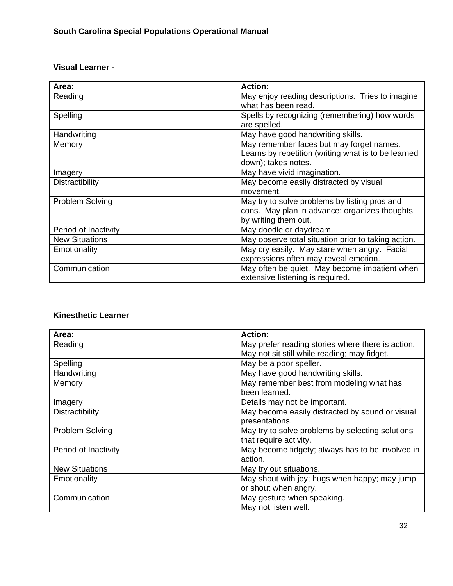# **Visual Learner -**

| Area:                 | <b>Action:</b>                                      |
|-----------------------|-----------------------------------------------------|
| Reading               | May enjoy reading descriptions. Tries to imagine    |
|                       | what has been read.                                 |
| Spelling              | Spells by recognizing (remembering) how words       |
|                       | are spelled.                                        |
| Handwriting           | May have good handwriting skills.                   |
| Memory                | May remember faces but may forget names.            |
|                       | Learns by repetition (writing what is to be learned |
|                       | down); takes notes.                                 |
| Imagery               | May have vivid imagination.                         |
| Distractibility       | May become easily distracted by visual              |
|                       | movement.                                           |
| Problem Solving       | May try to solve problems by listing pros and       |
|                       | cons. May plan in advance; organizes thoughts       |
|                       | by writing them out.                                |
| Period of Inactivity  | May doodle or daydream.                             |
| <b>New Situations</b> | May observe total situation prior to taking action. |
| Emotionality          | May cry easily. May stare when angry. Facial        |
|                       | expressions often may reveal emotion.               |
| Communication         | May often be quiet. May become impatient when       |
|                       | extensive listening is required.                    |

# **Kinesthetic Learner**

| Area:                  | <b>Action:</b>                                    |
|------------------------|---------------------------------------------------|
| Reading                | May prefer reading stories where there is action. |
|                        | May not sit still while reading; may fidget.      |
| Spelling               | May be a poor speller.                            |
| Handwriting            | May have good handwriting skills.                 |
| Memory                 | May remember best from modeling what has          |
|                        | been learned.                                     |
| Imagery                | Details may not be important.                     |
| <b>Distractibility</b> | May become easily distracted by sound or visual   |
|                        | presentations.                                    |
| <b>Problem Solving</b> | May try to solve problems by selecting solutions  |
|                        | that require activity.                            |
| Period of Inactivity   | May become fidgety; always has to be involved in  |
|                        | action.                                           |
| <b>New Situations</b>  | May try out situations.                           |
| Emotionality           | May shout with joy; hugs when happy; may jump     |
|                        | or shout when angry.                              |
| Communication          | May gesture when speaking.                        |
|                        | May not listen well.                              |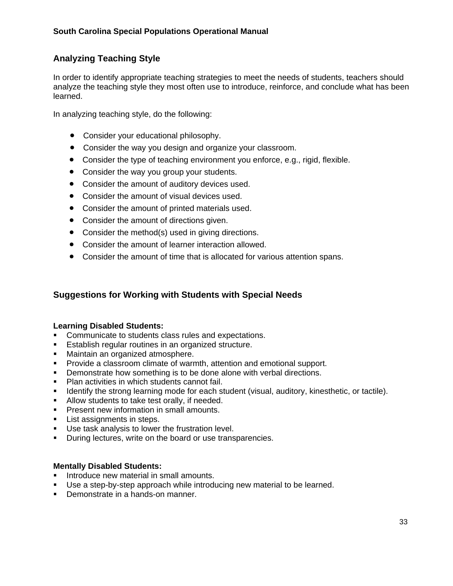# **Analyzing Teaching Style**

In order to identify appropriate teaching strategies to meet the needs of students, teachers should analyze the teaching style they most often use to introduce, reinforce, and conclude what has been learned.

In analyzing teaching style, do the following:

- Consider your educational philosophy.
- Consider the way you design and organize your classroom.
- Consider the type of teaching environment you enforce, e.g., rigid, flexible.
- Consider the way you group your students.
- Consider the amount of auditory devices used.
- Consider the amount of visual devices used.
- Consider the amount of printed materials used.
- Consider the amount of directions given.
- Consider the method(s) used in giving directions.
- Consider the amount of learner interaction allowed.
- Consider the amount of time that is allocated for various attention spans.

## **Suggestions for Working with Students with Special Needs**

### **Learning Disabled Students:**

- Communicate to students class rules and expectations.
- **Establish regular routines in an organized structure.**
- Maintain an organized atmosphere.
- **Provide a classroom climate of warmth, attention and emotional support.**
- Demonstrate how something is to be done alone with verbal directions.
- **Plan activities in which students cannot fail.**
- **IDENT** Identify the strong learning mode for each student (visual, auditory, kinesthetic, or tactile).
- **Allow students to take test orally, if needed.**
- **Present new information in small amounts.**
- **List assignments in steps.**
- **Use task analysis to lower the frustration level.**
- **During lectures, write on the board or use transparencies.**

### **Mentally Disabled Students:**

- **Introduce new material in small amounts.**
- Use a step-by-step approach while introducing new material to be learned.
- Demonstrate in a hands-on manner.